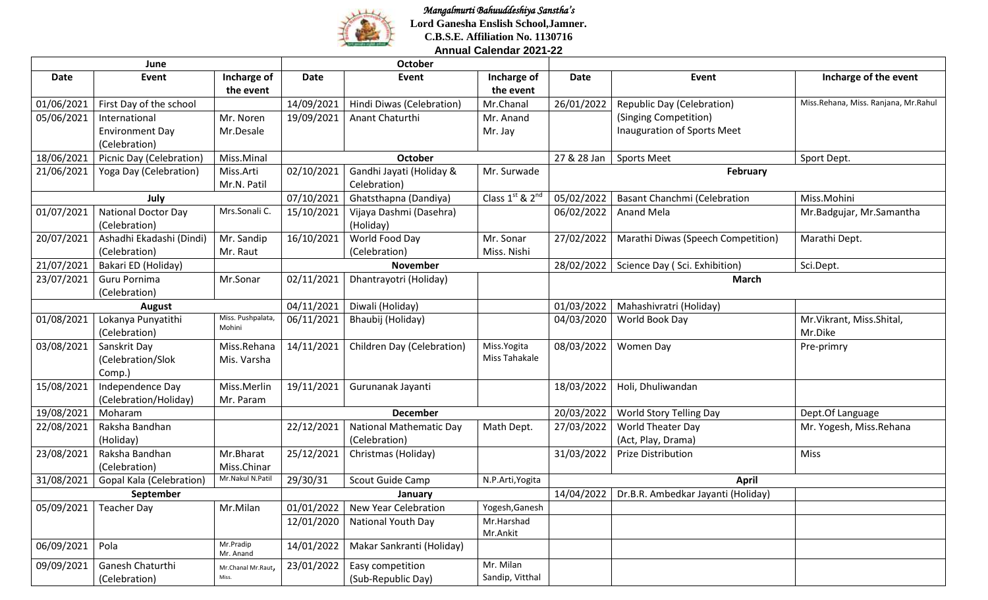

*Mangalmurti Bahuuddeshiya Sanstha's* **Lord Ganesha Enslish School,Jamner.**

**C.B.S.E. Affiliation No. 1130716 Annual Calendar 2021-22**

| June       |                            |                        | October     |                                |                     |             |                                                 |                                      |
|------------|----------------------------|------------------------|-------------|--------------------------------|---------------------|-------------|-------------------------------------------------|--------------------------------------|
| Date       | Event                      | Incharge of            | <b>Date</b> | Event                          | Incharge of         | <b>Date</b> | Event                                           | Incharge of the event                |
|            |                            | the event              |             |                                | the event           |             |                                                 |                                      |
| 01/06/2021 | First Day of the school    |                        | 14/09/2021  | Hindi Diwas (Celebration)      | Mr.Chanal           | 26/01/2022  | <b>Republic Day (Celebration)</b>               | Miss.Rehana, Miss. Ranjana, Mr.Rahul |
| 05/06/2021 | International              | Mr. Noren              | 19/09/2021  | Anant Chaturthi                | Mr. Anand           |             | (Singing Competition)                           |                                      |
|            | <b>Environment Day</b>     | Mr.Desale              |             |                                | Mr. Jay             |             | Inauguration of Sports Meet                     |                                      |
|            | (Celebration)              |                        |             |                                |                     |             |                                                 |                                      |
| 18/06/2021 | Picnic Day (Celebration)   | Miss.Minal             |             | <b>October</b>                 |                     | 27 & 28 Jan | <b>Sports Meet</b>                              | Sport Dept.                          |
| 21/06/2021 | Yoga Day (Celebration)     | Miss.Arti              | 02/10/2021  | Gandhi Jayati (Holiday &       | Mr. Surwade         |             | February                                        |                                      |
|            |                            | Mr.N. Patil            |             | Celebration)                   |                     |             |                                                 |                                      |
|            | July                       |                        | 07/10/2021  | Ghatsthapna (Dandiya)          | Class $1st$ & $2nd$ | 05/02/2022  | <b>Basant Chanchmi (Celebration</b>             | Miss.Mohini                          |
| 01/07/2021 | <b>National Doctor Day</b> | Mrs.Sonali C.          | 15/10/2021  | Vijaya Dashmi (Dasehra)        |                     | 06/02/2022  | <b>Anand Mela</b>                               | Mr.Badgujar, Mr.Samantha             |
|            | (Celebration)              |                        |             | (Holiday)                      |                     |             |                                                 |                                      |
| 20/07/2021 | Ashadhi Ekadashi (Dindi)   | Mr. Sandip             | 16/10/2021  | World Food Day                 | Mr. Sonar           | 27/02/2022  | Marathi Diwas (Speech Competition)              | Marathi Dept.                        |
|            | (Celebration)              | Mr. Raut               |             | (Celebration)                  | Miss. Nishi         |             |                                                 |                                      |
| 21/07/2021 | Bakari ED (Holiday)        |                        |             | <b>November</b>                |                     | 28/02/2022  | Science Day (Sci. Exhibition)                   | Sci.Dept.                            |
| 23/07/2021 | Guru Pornima               | Mr.Sonar               | 02/11/2021  | Dhantrayotri (Holiday)         |                     |             | <b>March</b>                                    |                                      |
|            | (Celebration)              |                        |             |                                |                     |             |                                                 |                                      |
|            | <b>August</b>              |                        | 04/11/2021  | Diwali (Holiday)               |                     | 01/03/2022  | Mahashivratri (Holiday)                         |                                      |
| 01/08/2021 | Lokanya Punyatithi         | Miss. Pushpalata,      | 06/11/2021  | Bhaubij (Holiday)              |                     | 04/03/2020  | World Book Day                                  | Mr. Vikrant, Miss. Shital,           |
|            | (Celebration)              | Mohini                 |             |                                |                     |             |                                                 | Mr.Dike                              |
| 03/08/2021 | Sanskrit Day               | Miss.Rehana            | 14/11/2021  | Children Day (Celebration)     | Miss. Yogita        | 08/03/2022  | Women Day                                       | Pre-primry                           |
|            | (Celebration/Slok          | Mis. Varsha            |             |                                | Miss Tahakale       |             |                                                 |                                      |
|            | Comp.)                     |                        |             |                                |                     |             |                                                 |                                      |
| 15/08/2021 | Independence Day           | Miss.Merlin            | 19/11/2021  | Gurunanak Jayanti              |                     | 18/03/2022  | Holi, Dhuliwandan                               |                                      |
|            | (Celebration/Holiday)      | Mr. Param              |             |                                |                     |             |                                                 |                                      |
| 19/08/2021 | Moharam                    |                        |             | <b>December</b>                |                     | 20/03/2022  | World Story Telling Day                         | Dept.Of Language                     |
| 22/08/2021 | Raksha Bandhan             |                        | 22/12/2021  | <b>National Mathematic Day</b> | Math Dept.          | 27/03/2022  | World Theater Day                               | Mr. Yogesh, Miss.Rehana              |
|            | (Holiday)                  |                        |             | (Celebration)                  |                     |             | (Act, Play, Drama)                              |                                      |
| 23/08/2021 | Raksha Bandhan             | Mr.Bharat              | 25/12/2021  | Christmas (Holiday)            |                     | 31/03/2022  | <b>Prize Distribution</b>                       | <b>Miss</b>                          |
|            | (Celebration)              | Miss.Chinar            |             |                                |                     |             |                                                 |                                      |
| 31/08/2021 | Gopal Kala (Celebration)   | Mr.Nakul N.Patil       | 29/30/31    | Scout Guide Camp               | N.P.Arti, Yogita    |             | <b>April</b>                                    |                                      |
|            | September                  |                        |             | January                        |                     |             | 14/04/2022   Dr.B.R. Ambedkar Jayanti (Holiday) |                                      |
| 05/09/2021 | <b>Teacher Day</b>         | Mr.Milan               | 01/01/2022  | New Year Celebration           | Yogesh, Ganesh      |             |                                                 |                                      |
|            |                            |                        | 12/01/2020  | <b>National Youth Day</b>      | Mr.Harshad          |             |                                                 |                                      |
|            |                            |                        |             |                                | Mr.Ankit            |             |                                                 |                                      |
| 06/09/2021 | Pola                       | Mr.Pradip<br>Mr. Anand | 14/01/2022  | Makar Sankranti (Holiday)      |                     |             |                                                 |                                      |
| 09/09/2021 | Ganesh Chaturthi           | Mr.Chanal Mr.Raut,     | 23/01/2022  | Easy competition               | Mr. Milan           |             |                                                 |                                      |
|            | (Celebration)              | Miss.                  |             | (Sub-Republic Day)             | Sandip, Vitthal     |             |                                                 |                                      |